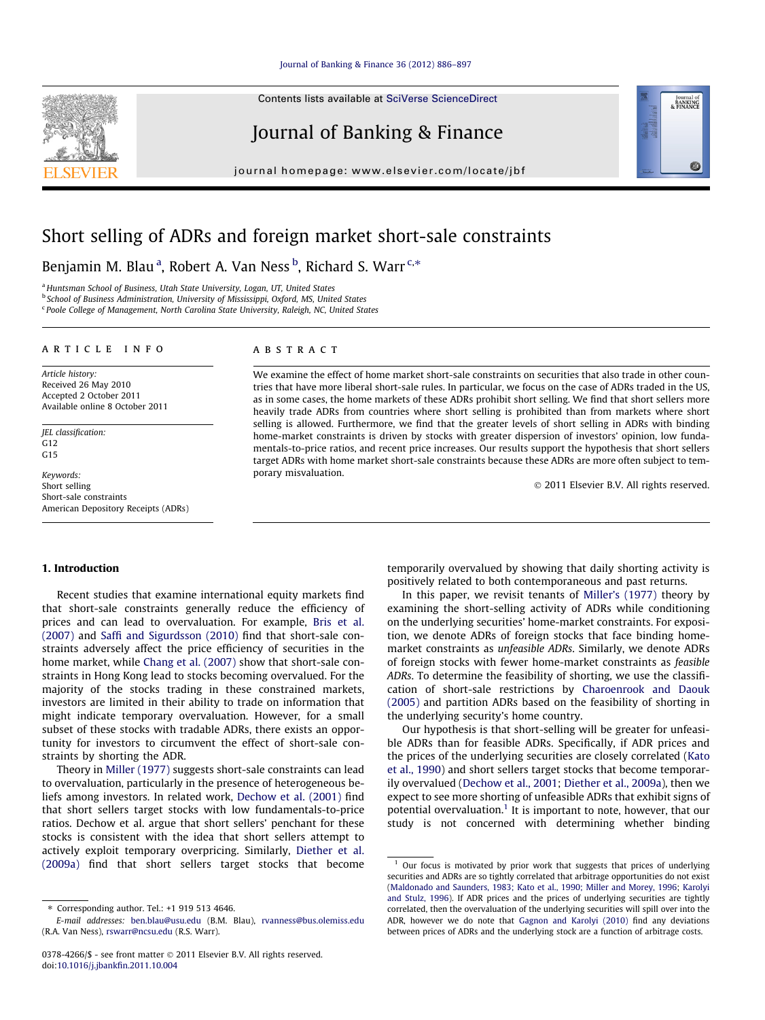Contents lists available at [SciVerse ScienceDirect](http://www.sciencedirect.com/science/journal/03784266)

## Journal of Banking & Finance

journal homepage: [www.elsevier.com/locate/jbf](http://www.elsevier.com/locate/jbf)



## Short selling of ADRs and foreign market short-sale constraints

Benjamin M. Blau <sup>a</sup>, Robert A. Van Ness <sup>b</sup>, Richard S. Warr <sup>c,</sup>\*

<sup>a</sup> Huntsman School of Business, Utah State University, Logan, UT, United States **b School of Business Administration, University of Mississippi, Oxford, MS, United States** <sup>c</sup> Poole College of Management, North Carolina State University, Raleigh, NC, United States

#### article info

Article history: Received 26 May 2010 Accepted 2 October 2011 Available online 8 October 2011

JEL classification: G12  $G15$ 

Keywords: Short selling Short-sale constraints American Depository Receipts (ADRs)

#### **ABSTRACT**

We examine the effect of home market short-sale constraints on securities that also trade in other countries that have more liberal short-sale rules. In particular, we focus on the case of ADRs traded in the US, as in some cases, the home markets of these ADRs prohibit short selling. We find that short sellers more heavily trade ADRs from countries where short selling is prohibited than from markets where short selling is allowed. Furthermore, we find that the greater levels of short selling in ADRs with binding home-market constraints is driven by stocks with greater dispersion of investors' opinion, low fundamentals-to-price ratios, and recent price increases. Our results support the hypothesis that short sellers target ADRs with home market short-sale constraints because these ADRs are more often subject to temporary misvaluation.

- 2011 Elsevier B.V. All rights reserved.

#### 1. Introduction

Recent studies that examine international equity markets find that short-sale constraints generally reduce the efficiency of prices and can lead to overvaluation. For example, [Bris et al.](#page--1-0) [\(2007\)](#page--1-0) and [Saffi and Sigurdsson \(2010\)](#page--1-0) find that short-sale constraints adversely affect the price efficiency of securities in the home market, while [Chang et al. \(2007\)](#page--1-0) show that short-sale constraints in Hong Kong lead to stocks becoming overvalued. For the majority of the stocks trading in these constrained markets, investors are limited in their ability to trade on information that might indicate temporary overvaluation. However, for a small subset of these stocks with tradable ADRs, there exists an opportunity for investors to circumvent the effect of short-sale constraints by shorting the ADR.

Theory in [Miller \(1977\)](#page--1-0) suggests short-sale constraints can lead to overvaluation, particularly in the presence of heterogeneous beliefs among investors. In related work, [Dechow et al. \(2001\)](#page--1-0) find that short sellers target stocks with low fundamentals-to-price ratios. Dechow et al. argue that short sellers' penchant for these stocks is consistent with the idea that short sellers attempt to actively exploit temporary overpricing. Similarly, [Diether et al.](#page--1-0) [\(2009a\)](#page--1-0) find that short sellers target stocks that become temporarily overvalued by showing that daily shorting activity is positively related to both contemporaneous and past returns.

In this paper, we revisit tenants of [Miller's \(1977\)](#page--1-0) theory by examining the short-selling activity of ADRs while conditioning on the underlying securities' home-market constraints. For exposition, we denote ADRs of foreign stocks that face binding homemarket constraints as unfeasible ADRs. Similarly, we denote ADRs of foreign stocks with fewer home-market constraints as feasible ADRs. To determine the feasibility of shorting, we use the classification of short-sale restrictions by [Charoenrook and Daouk](#page--1-0) [\(2005\)](#page--1-0) and partition ADRs based on the feasibility of shorting in the underlying security's home country.

Our hypothesis is that short-selling will be greater for unfeasible ADRs than for feasible ADRs. Specifically, if ADR prices and the prices of the underlying securities are closely correlated ([Kato](#page--1-0) [et al., 1990](#page--1-0)) and short sellers target stocks that become temporarily overvalued [\(Dechow et al., 2001](#page--1-0); [Diether et al., 2009a](#page--1-0)), then we expect to see more shorting of unfeasible ADRs that exhibit signs of potential overvaluation. $1$  It is important to note, however, that our study is not concerned with determining whether binding

<sup>⇑</sup> Corresponding author. Tel.: +1 919 513 4646.

E-mail addresses: [ben.blau@usu.edu](mailto:ben.blau@usu.edu) (B.M. Blau), [rvanness@bus.olemiss.edu](mailto:rvanness@bus.olemiss.edu) (R.A. Van Ness), [rswarr@ncsu.edu](mailto:rswarr@ncsu.edu) (R.S. Warr).

<sup>0378-4266/\$ -</sup> see front matter © 2011 Elsevier B.V. All rights reserved. doi:[10.1016/j.jbankfin.2011.10.004](http://dx.doi.org/10.1016/j.jbankfin.2011.10.004)

 $1$  Our focus is motivated by prior work that suggests that prices of underlying securities and ADRs are so tightly correlated that arbitrage opportunities do not exist [\(Maldonado and Saunders, 1983; Kato et al., 1990; Miller and Morey, 1996](#page--1-0); [Karolyi](#page--1-0) [and Stulz, 1996\)](#page--1-0). If ADR prices and the prices of underlying securities are tightly correlated, then the overvaluation of the underlying securities will spill over into the ADR, however we do note that [Gagnon and Karolyi \(2010\)](#page--1-0) find any deviations between prices of ADRs and the underlying stock are a function of arbitrage costs.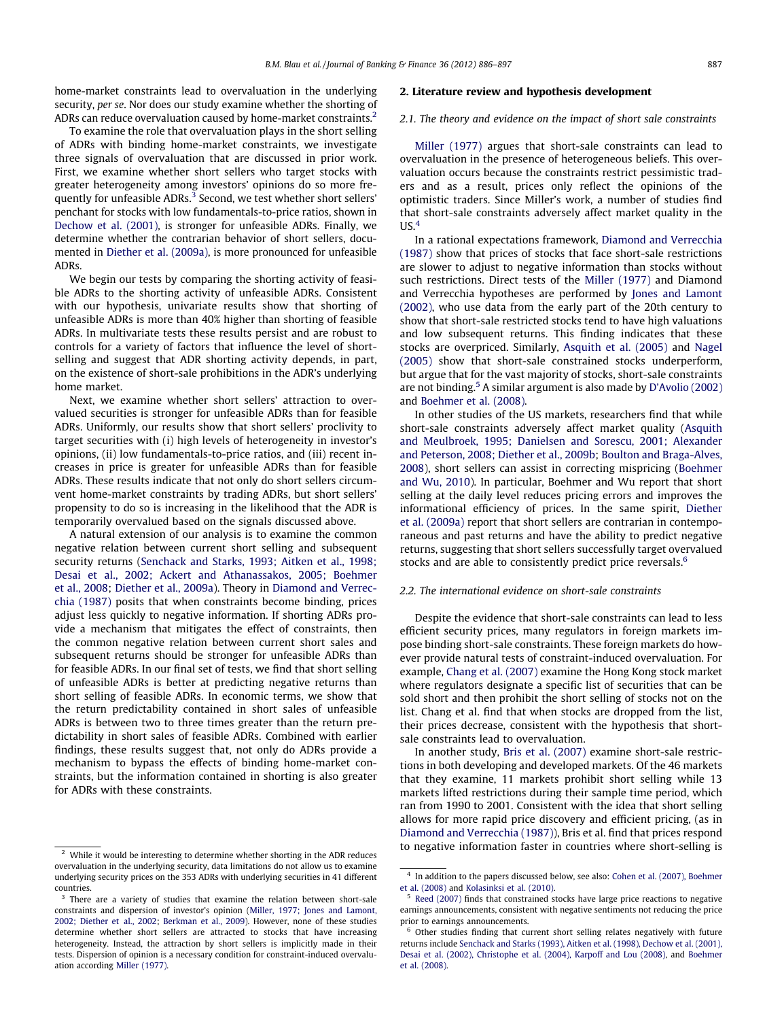home-market constraints lead to overvaluation in the underlying security, per se. Nor does our study examine whether the shorting of ADRs can reduce overvaluation caused by home-market constraints.<sup>2</sup>

To examine the role that overvaluation plays in the short selling of ADRs with binding home-market constraints, we investigate three signals of overvaluation that are discussed in prior work. First, we examine whether short sellers who target stocks with greater heterogeneity among investors' opinions do so more frequently for unfeasible ADRs.<sup>3</sup> Second, we test whether short sellers' penchant for stocks with low fundamentals-to-price ratios, shown in [Dechow et al. \(2001\),](#page--1-0) is stronger for unfeasible ADRs. Finally, we determine whether the contrarian behavior of short sellers, documented in [Diether et al. \(2009a\),](#page--1-0) is more pronounced for unfeasible ADRs.

We begin our tests by comparing the shorting activity of feasible ADRs to the shorting activity of unfeasible ADRs. Consistent with our hypothesis, univariate results show that shorting of unfeasible ADRs is more than 40% higher than shorting of feasible ADRs. In multivariate tests these results persist and are robust to controls for a variety of factors that influence the level of shortselling and suggest that ADR shorting activity depends, in part, on the existence of short-sale prohibitions in the ADR's underlying home market.

Next, we examine whether short sellers' attraction to overvalued securities is stronger for unfeasible ADRs than for feasible ADRs. Uniformly, our results show that short sellers' proclivity to target securities with (i) high levels of heterogeneity in investor's opinions, (ii) low fundamentals-to-price ratios, and (iii) recent increases in price is greater for unfeasible ADRs than for feasible ADRs. These results indicate that not only do short sellers circumvent home-market constraints by trading ADRs, but short sellers' propensity to do so is increasing in the likelihood that the ADR is temporarily overvalued based on the signals discussed above.

A natural extension of our analysis is to examine the common negative relation between current short selling and subsequent security returns ([Senchack and Starks, 1993; Aitken et al., 1998;](#page--1-0) [Desai et al., 2002; Ackert and Athanassakos, 2005; Boehmer](#page--1-0) [et al., 2008](#page--1-0); [Diether et al., 2009a](#page--1-0)). Theory in [Diamond and Verrec](#page--1-0)[chia \(1987\)](#page--1-0) posits that when constraints become binding, prices adjust less quickly to negative information. If shorting ADRs provide a mechanism that mitigates the effect of constraints, then the common negative relation between current short sales and subsequent returns should be stronger for unfeasible ADRs than for feasible ADRs. In our final set of tests, we find that short selling of unfeasible ADRs is better at predicting negative returns than short selling of feasible ADRs. In economic terms, we show that the return predictability contained in short sales of unfeasible ADRs is between two to three times greater than the return predictability in short sales of feasible ADRs. Combined with earlier findings, these results suggest that, not only do ADRs provide a mechanism to bypass the effects of binding home-market constraints, but the information contained in shorting is also greater for ADRs with these constraints.

### 2. Literature review and hypothesis development

#### 2.1. The theory and evidence on the impact of short sale constraints

[Miller \(1977\)](#page--1-0) argues that short-sale constraints can lead to overvaluation in the presence of heterogeneous beliefs. This overvaluation occurs because the constraints restrict pessimistic traders and as a result, prices only reflect the opinions of the optimistic traders. Since Miller's work, a number of studies find that short-sale constraints adversely affect market quality in the  $US.<sup>4</sup>$ 

In a rational expectations framework, [Diamond and Verrecchia](#page--1-0) [\(1987\)](#page--1-0) show that prices of stocks that face short-sale restrictions are slower to adjust to negative information than stocks without such restrictions. Direct tests of the [Miller \(1977\)](#page--1-0) and Diamond and Verrecchia hypotheses are performed by [Jones and Lamont](#page--1-0) [\(2002\)](#page--1-0), who use data from the early part of the 20th century to show that short-sale restricted stocks tend to have high valuations and low subsequent returns. This finding indicates that these stocks are overpriced. Similarly, [Asquith et al. \(2005\)](#page--1-0) and [Nagel](#page--1-0) [\(2005\)](#page--1-0) show that short-sale constrained stocks underperform, but argue that for the vast majority of stocks, short-sale constraints are not binding. $5$  A similar argument is also made by [D'Avolio \(2002\)](#page--1-0) and [Boehmer et al. \(2008\).](#page--1-0)

In other studies of the US markets, researchers find that while short-sale constraints adversely affect market quality [\(Asquith](#page--1-0) [and Meulbroek, 1995; Danielsen and Sorescu, 2001; Alexander](#page--1-0) [and Peterson, 2008; Diether et al., 2009b;](#page--1-0) [Boulton and Braga-Alves,](#page--1-0) [2008](#page--1-0)), short sellers can assist in correcting mispricing ([Boehmer](#page--1-0) [and Wu, 2010](#page--1-0)). In particular, Boehmer and Wu report that short selling at the daily level reduces pricing errors and improves the informational efficiency of prices. In the same spirit, [Diether](#page--1-0) [et al. \(2009a\)](#page--1-0) report that short sellers are contrarian in contemporaneous and past returns and have the ability to predict negative returns, suggesting that short sellers successfully target overvalued stocks and are able to consistently predict price reversals.<sup>6</sup>

#### 2.2. The international evidence on short-sale constraints

Despite the evidence that short-sale constraints can lead to less efficient security prices, many regulators in foreign markets impose binding short-sale constraints. These foreign markets do however provide natural tests of constraint-induced overvaluation. For example, [Chang et al. \(2007\)](#page--1-0) examine the Hong Kong stock market where regulators designate a specific list of securities that can be sold short and then prohibit the short selling of stocks not on the list. Chang et al. find that when stocks are dropped from the list, their prices decrease, consistent with the hypothesis that shortsale constraints lead to overvaluation.

In another study, [Bris et al. \(2007\)](#page--1-0) examine short-sale restrictions in both developing and developed markets. Of the 46 markets that they examine, 11 markets prohibit short selling while 13 markets lifted restrictions during their sample time period, which ran from 1990 to 2001. Consistent with the idea that short selling allows for more rapid price discovery and efficient pricing, (as in [Diamond and Verrecchia \(1987\)\)](#page--1-0), Bris et al. find that prices respond The negative information faster in countries where short-selling is<br>While it would be interesting to determine whether shorting in the ADR reduces

overvaluation in the underlying security, data limitations do not allow us to examine underlying security prices on the 353 ADRs with underlying securities in 41 different countries.

<sup>&</sup>lt;sup>3</sup> There are a variety of studies that examine the relation between short-sale constraints and dispersion of investor's opinion [\(Miller, 1977; Jones and Lamont,](#page--1-0) [2002; Diether et al., 2002](#page--1-0); [Berkman et al., 2009\)](#page--1-0). However, none of these studies determine whether short sellers are attracted to stocks that have increasing heterogeneity. Instead, the attraction by short sellers is implicitly made in their tests. Dispersion of opinion is a necessary condition for constraint-induced overvaluation according [Miller \(1977\).](#page--1-0)

<sup>4</sup> In addition to the papers discussed below, see also: [Cohen et al. \(2007\), Boehmer](#page--1-0) [et al. \(2008\)](#page--1-0) and [Kolasinksi et al. \(2010\)](#page--1-0).

<sup>&</sup>lt;sup>5</sup> [Reed \(2007\)](#page--1-0) finds that constrained stocks have large price reactions to negative earnings announcements, consistent with negative sentiments not reducing the price prior to earnings announcements.

<sup>&</sup>lt;sup>6</sup> Other studies finding that current short selling relates negatively with future returns include [Senchack and Starks \(1993\), Aitken et al. \(1998\), Dechow et al. \(2001\),](#page--1-0) [Desai et al. \(2002\), Christophe et al. \(2004\), Karpoff and Lou \(2008\)](#page--1-0), and [Boehmer](#page--1-0) [et al. \(2008\).](#page--1-0)